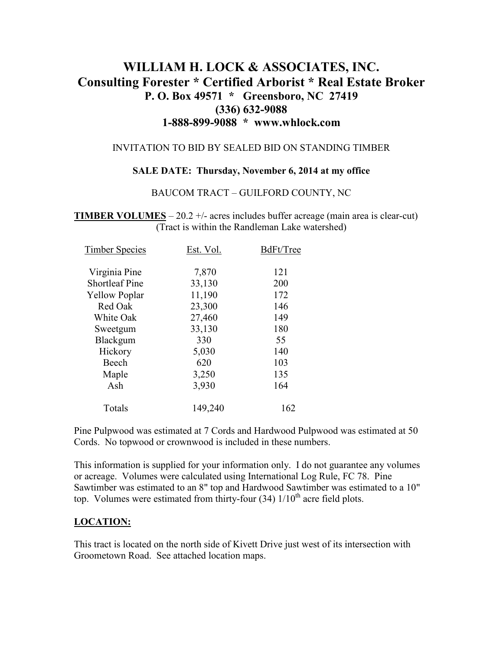# **WILLIAM H. LOCK & ASSOCIATES, INC. Consulting Forester \* Certified Arborist \* Real Estate Broker P. O. Box 49571 \* Greensboro, NC 27419 (336) 632-9088 1-888-899-9088 \* www.whlock.com**

#### INVITATION TO BID BY SEALED BID ON STANDING TIMBER

### **SALE DATE: Thursday, November 6, 2014 at my office**

### BAUCOM TRACT – GUILFORD COUNTY, NC

**TIMBER VOLUMES** – 20.2 +/- acres includes buffer acreage (main area is clear-cut) (Tract is within the Randleman Lake watershed)

| <b>Timber Species</b> | Est. Vol. | BdFt/Tree |
|-----------------------|-----------|-----------|
|                       |           |           |
| Virginia Pine         | 7,870     | 121       |
| <b>Shortleaf Pine</b> | 33,130    | 200       |
| <b>Yellow Poplar</b>  | 11,190    | 172       |
| Red Oak               | 23,300    | 146       |
| White Oak             | 27,460    | 149       |
| Sweetgum              | 33,130    | 180       |
| Blackgum              | 330       | 55        |
| Hickory               | 5,030     | 140       |
| Beech                 | 620       | 103       |
| Maple                 | 3,250     | 135       |
| Ash                   | 3,930     | 164       |
| Totals                | 149,240   | 162       |

Pine Pulpwood was estimated at 7 Cords and Hardwood Pulpwood was estimated at 50 Cords. No topwood or crownwood is included in these numbers.

This information is supplied for your information only. I do not guarantee any volumes or acreage. Volumes were calculated using International Log Rule, FC 78. Pine Sawtimber was estimated to an 8" top and Hardwood Sawtimber was estimated to a 10" top. Volumes were estimated from thirty-four  $(34)$   $1/10<sup>th</sup>$  acre field plots.

### **LOCATION:**

This tract is located on the north side of Kivett Drive just west of its intersection with Groometown Road. See attached location maps.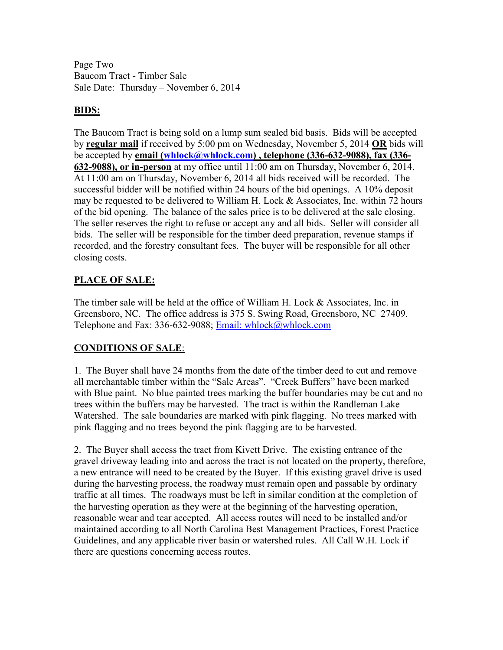Page Two Baucom Tract - Timber Sale Sale Date: Thursday – November 6, 2014

# **BIDS:**

The Baucom Tract is being sold on a lump sum sealed bid basis. Bids will be accepted by **regular mail** if received by 5:00 pm on Wednesday, November 5, 2014 **OR** bids will be accepted by **email (whlock@whlock.com) , telephone (336-632-9088), fax (336- 632-9088), or in-person** at my office until 11:00 am on Thursday, November 6, 2014. At 11:00 am on Thursday, November 6, 2014 all bids received will be recorded. The successful bidder will be notified within 24 hours of the bid openings. A 10% deposit may be requested to be delivered to William H. Lock & Associates, Inc. within 72 hours of the bid opening. The balance of the sales price is to be delivered at the sale closing. The seller reserves the right to refuse or accept any and all bids. Seller will consider all bids. The seller will be responsible for the timber deed preparation, revenue stamps if recorded, and the forestry consultant fees. The buyer will be responsible for all other closing costs.

# **PLACE OF SALE:**

The timber sale will be held at the office of William H. Lock & Associates, Inc. in Greensboro, NC. The office address is 375 S. Swing Road, Greensboro, NC 27409. Telephone and Fax: 336-632-9088; Email: whlock@whlock.com

# **CONDITIONS OF SALE**:

1. The Buyer shall have 24 months from the date of the timber deed to cut and remove all merchantable timber within the "Sale Areas". "Creek Buffers" have been marked with Blue paint. No blue painted trees marking the buffer boundaries may be cut and no trees within the buffers may be harvested. The tract is within the Randleman Lake Watershed. The sale boundaries are marked with pink flagging. No trees marked with pink flagging and no trees beyond the pink flagging are to be harvested.

2. The Buyer shall access the tract from Kivett Drive. The existing entrance of the gravel driveway leading into and across the tract is not located on the property, therefore, a new entrance will need to be created by the Buyer. If this existing gravel drive is used during the harvesting process, the roadway must remain open and passable by ordinary traffic at all times. The roadways must be left in similar condition at the completion of the harvesting operation as they were at the beginning of the harvesting operation, reasonable wear and tear accepted. All access routes will need to be installed and/or maintained according to all North Carolina Best Management Practices, Forest Practice Guidelines, and any applicable river basin or watershed rules. All Call W.H. Lock if there are questions concerning access routes.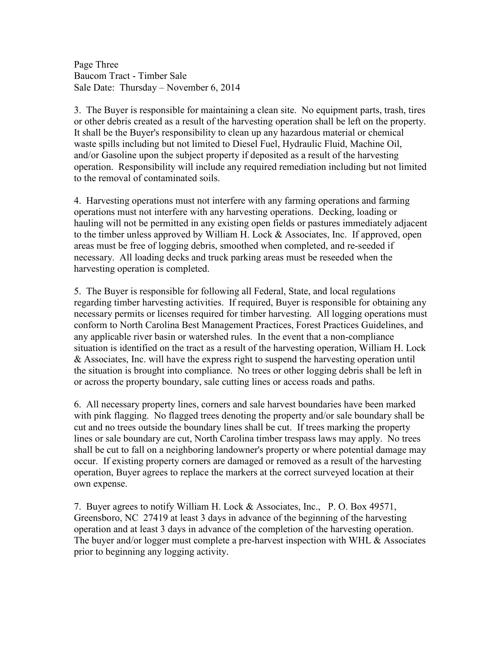Page Three Baucom Tract - Timber Sale Sale Date: Thursday – November 6, 2014

3. The Buyer is responsible for maintaining a clean site. No equipment parts, trash, tires or other debris created as a result of the harvesting operation shall be left on the property. It shall be the Buyer's responsibility to clean up any hazardous material or chemical waste spills including but not limited to Diesel Fuel, Hydraulic Fluid, Machine Oil, and/or Gasoline upon the subject property if deposited as a result of the harvesting operation. Responsibility will include any required remediation including but not limited to the removal of contaminated soils.

4. Harvesting operations must not interfere with any farming operations and farming operations must not interfere with any harvesting operations. Decking, loading or hauling will not be permitted in any existing open fields or pastures immediately adjacent to the timber unless approved by William H. Lock & Associates, Inc. If approved, open areas must be free of logging debris, smoothed when completed, and re-seeded if necessary. All loading decks and truck parking areas must be reseeded when the harvesting operation is completed.

5. The Buyer is responsible for following all Federal, State, and local regulations regarding timber harvesting activities. If required, Buyer is responsible for obtaining any necessary permits or licenses required for timber harvesting. All logging operations must conform to North Carolina Best Management Practices, Forest Practices Guidelines, and any applicable river basin or watershed rules. In the event that a non-compliance situation is identified on the tract as a result of the harvesting operation, William H. Lock & Associates, Inc. will have the express right to suspend the harvesting operation until the situation is brought into compliance. No trees or other logging debris shall be left in or across the property boundary, sale cutting lines or access roads and paths.

6. All necessary property lines, corners and sale harvest boundaries have been marked with pink flagging. No flagged trees denoting the property and/or sale boundary shall be cut and no trees outside the boundary lines shall be cut. If trees marking the property lines or sale boundary are cut, North Carolina timber trespass laws may apply. No trees shall be cut to fall on a neighboring landowner's property or where potential damage may occur. If existing property corners are damaged or removed as a result of the harvesting operation, Buyer agrees to replace the markers at the correct surveyed location at their own expense.

7. Buyer agrees to notify William H. Lock & Associates, Inc., P. O. Box 49571, Greensboro, NC 27419 at least 3 days in advance of the beginning of the harvesting operation and at least 3 days in advance of the completion of the harvesting operation. The buyer and/or logger must complete a pre-harvest inspection with WHL & Associates prior to beginning any logging activity.